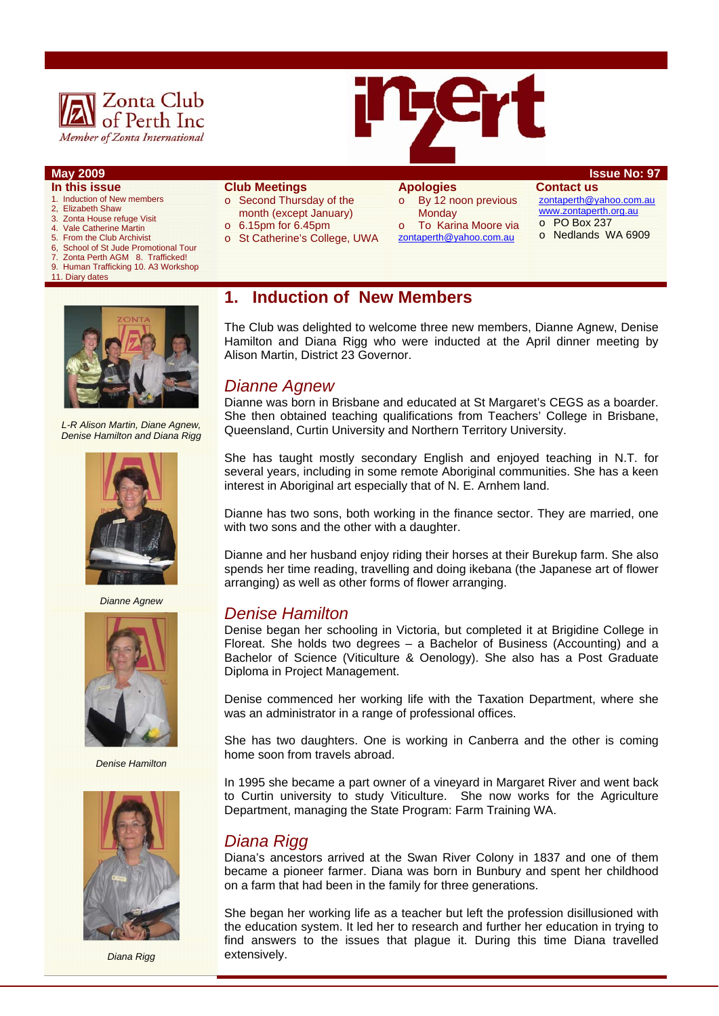

## **May 2009 ISSUE NO: 97**

- **In this issue**
- 1. Induction of New members 2, Elizabeth Shaw
- 3. Zonta House refuge Visit
- 4. Vale Catherine Martin<br>5. From the Club Archivis
- 5. From the Club Archivist
- 6, School of St Jude Promotional Tour<br>7. Zonta Perth AGM 8. Trafficked! Zonta Perth AGM 8. Trafficked!
- 9. Human Trafficking 10. A3 Workshop
- 11. Diary dates



#### **Club Meetings**

- o Second Thursday of the month (except January)
- o 6.15pm for 6.45pm
- o St Catherine's College, UWA

# **Apologies**

#### o By 12 noon previous **Monday** To Karina Moore via

zontaperth@yahoo.com.au

**Contact us**  zontaperth@yahoo.com.au www.zontaperth.org.au o PO Box 237

o Nedlands WA 6909



*L-R Alison Martin, Diane Agnew, Denise Hamilton and Diana Rigg* 



*Dianne Agnew*



*Denise Hamilton* 



*Diana Rigg* 

## **1. Induction of New Members**

The Club was delighted to welcome three new members, Dianne Agnew, Denise Hamilton and Diana Rigg who were inducted at the April dinner meeting by Alison Martin, District 23 Governor.

### *Dianne Agnew*

Dianne was born in Brisbane and educated at St Margaret's CEGS as a boarder. She then obtained teaching qualifications from Teachers' College in Brisbane, Queensland, Curtin University and Northern Territory University.

She has taught mostly secondary English and enjoyed teaching in N.T. for several years, including in some remote Aboriginal communities. She has a keen interest in Aboriginal art especially that of N. E. Arnhem land.

Dianne has two sons, both working in the finance sector. They are married, one with two sons and the other with a daughter.

Dianne and her husband enjoy riding their horses at their Burekup farm. She also spends her time reading, travelling and doing ikebana (the Japanese art of flower arranging) as well as other forms of flower arranging.

### *Denise Hamilton*

Denise began her schooling in Victoria, but completed it at Brigidine College in Floreat. She holds two degrees – a Bachelor of Business (Accounting) and a Bachelor of Science (Viticulture & Oenology). She also has a Post Graduate Diploma in Project Management.

Denise commenced her working life with the Taxation Department, where she was an administrator in a range of professional offices.

She has two daughters. One is working in Canberra and the other is coming home soon from travels abroad.

In 1995 she became a part owner of a vineyard in Margaret River and went back to Curtin university to study Viticulture. She now works for the Agriculture Department, managing the State Program: Farm Training WA.

## *Diana Rigg*

Diana's ancestors arrived at the Swan River Colony in 1837 and one of them became a pioneer farmer. Diana was born in Bunbury and spent her childhood on a farm that had been in the family for three generations.

She began her working life as a teacher but left the profession disillusioned with the education system. It led her to research and further her education in trying to find answers to the issues that plague it. During this time Diana travelled extensively.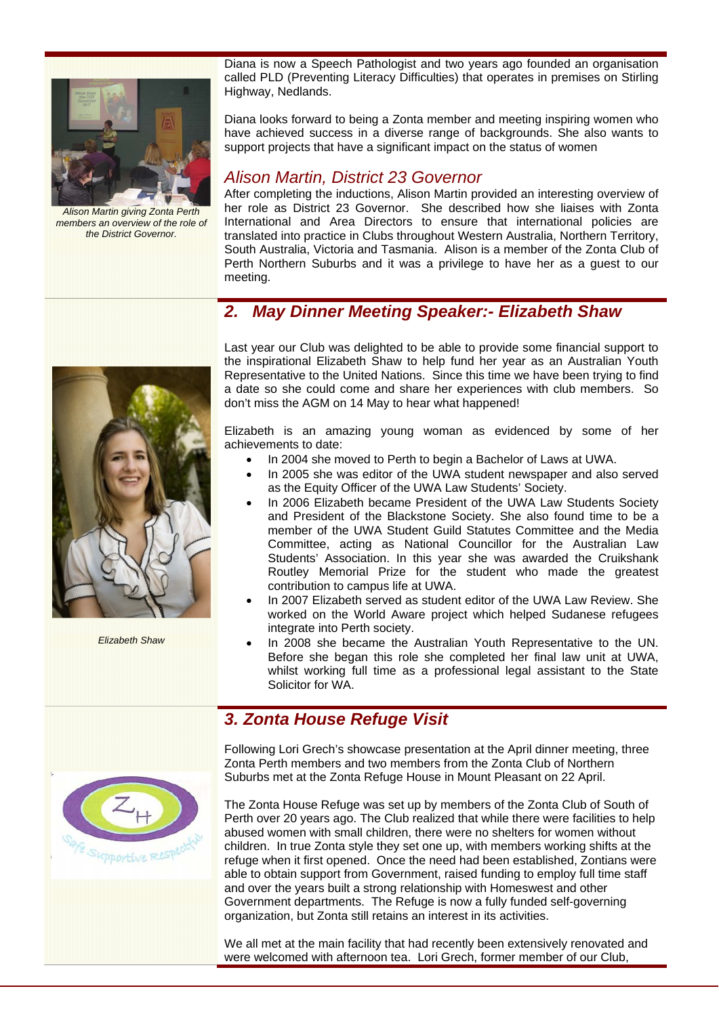

*Alison Martin giving Zonta Perth members an overview of the role of the District Governor.* 

Diana is now a Speech Pathologist and two years ago founded an organisation called PLD (Preventing Literacy Difficulties) that operates in premises on Stirling Highway, Nedlands.

Diana looks forward to being a Zonta member and meeting inspiring women who have achieved success in a diverse range of backgrounds. She also wants to support projects that have a significant impact on the status of women

## *Alison Martin, District 23 Governor*

After completing the inductions, Alison Martin provided an interesting overview of her role as District 23 Governor. She described how she liaises with Zonta International and Area Directors to ensure that international policies are translated into practice in Clubs throughout Western Australia, Northern Territory, South Australia, Victoria and Tasmania. Alison is a member of the Zonta Club of Perth Northern Suburbs and it was a privilege to have her as a guest to our meeting.

# *2. May Dinner Meeting Speaker:- Elizabeth Shaw*



*Elizabeth Shaw* 

Last year our Club was delighted to be able to provide some financial support to the inspirational Elizabeth Shaw to help fund her year as an Australian Youth Representative to the United Nations. Since this time we have been trying to find a date so she could come and share her experiences with club members. So don't miss the AGM on 14 May to hear what happened!

Elizabeth is an amazing young woman as evidenced by some of her achievements to date:

- In 2004 she moved to Perth to begin a Bachelor of Laws at UWA.
- In 2005 she was editor of the UWA student newspaper and also served as the Equity Officer of the UWA Law Students' Society.
- In 2006 Elizabeth became President of the UWA Law Students Society and President of the Blackstone Society. She also found time to be a member of the UWA Student Guild Statutes Committee and the Media Committee, acting as National Councillor for the Australian Law Students' Association. In this year she was awarded the Cruikshank Routley Memorial Prize for the student who made the greatest contribution to campus life at UWA.
- In 2007 Elizabeth served as student editor of the UWA Law Review. She worked on the World Aware project which helped Sudanese refugees integrate into Perth society.
- In 2008 she became the Australian Youth Representative to the UN. Before she began this role she completed her final law unit at UWA, whilst working full time as a professional legal assistant to the State Solicitor for WA.

# *3. Zonta House Refuge Visit*

Following Lori Grech's showcase presentation at the April dinner meeting, three Zonta Perth members and two members from the Zonta Club of Northern Suburbs met at the Zonta Refuge House in Mount Pleasant on 22 April.

The Zonta House Refuge was set up by members of the Zonta Club of South of Perth over 20 years ago. The Club realized that while there were facilities to help abused women with small children, there were no shelters for women without children. In true Zonta style they set one up, with members working shifts at the refuge when it first opened. Once the need had been established, Zontians were able to obtain support from Government, raised funding to employ full time staff and over the years built a strong relationship with Homeswest and other Government departments. The Refuge is now a fully funded self-governing organization, but Zonta still retains an interest in its activities.

We all met at the main facility that had recently been extensively renovated and were welcomed with afternoon tea. Lori Grech, former member of our Club,

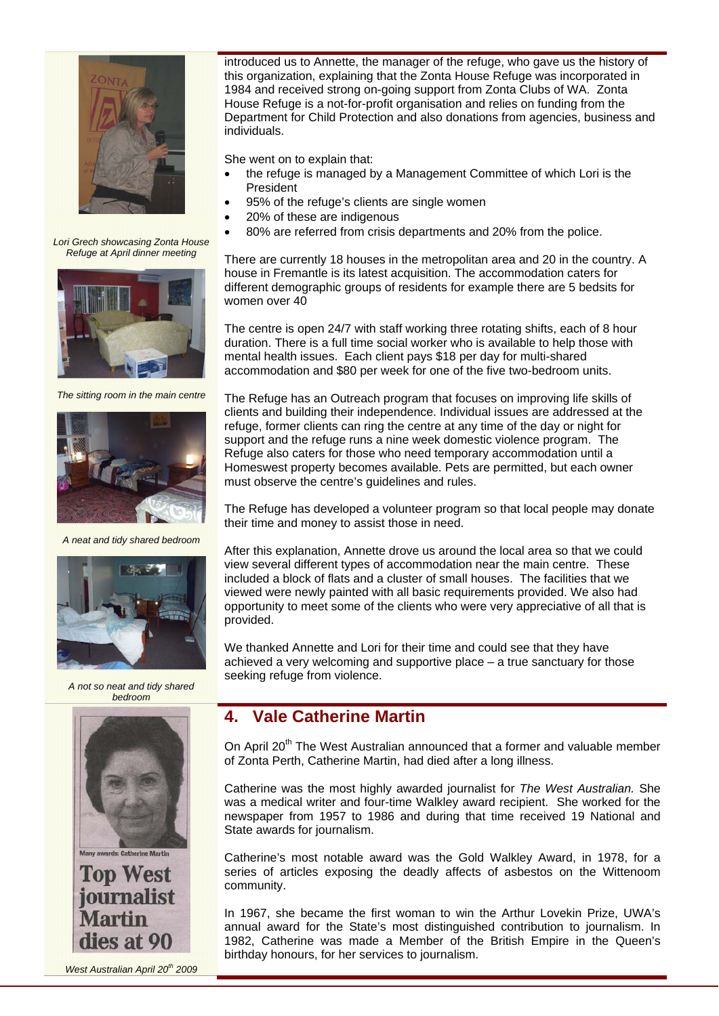

*Lori Grech showcasing Zonta House Refuge at April dinner meeting* 



*The sitting room in the main centre* 



*A neat and tidy shared bedroom* 



*A not so neat and tidy shared bedroom* 



**Top West** journalist **Martin** dies at 90

*West Australian April 20th 2009* 

introduced us to Annette, the manager of the refuge, who gave us the history of this organization, explaining that the Zonta House Refuge was incorporated in 1984 and received strong on-going support from Zonta Clubs of WA. Zonta House Refuge is a not-for-profit organisation and relies on funding from the Department for Child Protection and also donations from agencies, business and individuals.

She went on to explain that:

- the refuge is managed by a Management Committee of which Lori is the **President**
- 95% of the refuge's clients are single women
- 20% of these are indigenous
- 80% are referred from crisis departments and 20% from the police.

There are currently 18 houses in the metropolitan area and 20 in the country. A house in Fremantle is its latest acquisition. The accommodation caters for different demographic groups of residents for example there are 5 bedsits for women over 40

The centre is open 24/7 with staff working three rotating shifts, each of 8 hour duration. There is a full time social worker who is available to help those with mental health issues. Each client pays \$18 per day for multi-shared accommodation and \$80 per week for one of the five two-bedroom units.

The Refuge has an Outreach program that focuses on improving life skills of clients and building their independence. Individual issues are addressed at the refuge, former clients can ring the centre at any time of the day or night for support and the refuge runs a nine week domestic violence program. The Refuge also caters for those who need temporary accommodation until a Homeswest property becomes available. Pets are permitted, but each owner must observe the centre's guidelines and rules.

The Refuge has developed a volunteer program so that local people may donate their time and money to assist those in need.

After this explanation, Annette drove us around the local area so that we could view several different types of accommodation near the main centre. These included a block of flats and a cluster of small houses. The facilities that we viewed were newly painted with all basic requirements provided. We also had opportunity to meet some of the clients who were very appreciative of all that is provided.

We thanked Annette and Lori for their time and could see that they have achieved a very welcoming and supportive place – a true sanctuary for those seeking refuge from violence.

## **4. Vale Catherine Martin**

On April 20<sup>th</sup> The West Australian announced that a former and valuable member of Zonta Perth, Catherine Martin, had died after a long illness.

Catherine was the most highly awarded journalist for *The West Australian.* She was a medical writer and four-time Walkley award recipient. She worked for the newspaper from 1957 to 1986 and during that time received 19 National and State awards for journalism.

Catherine's most notable award was the Gold Walkley Award, in 1978, for a series of articles exposing the deadly affects of asbestos on the Wittenoom community.

In 1967, she became the first woman to win the Arthur Lovekin Prize, UWA's annual award for the State's most distinguished contribution to journalism. In 1982, Catherine was made a Member of the British Empire in the Queen's birthday honours, for her services to journalism.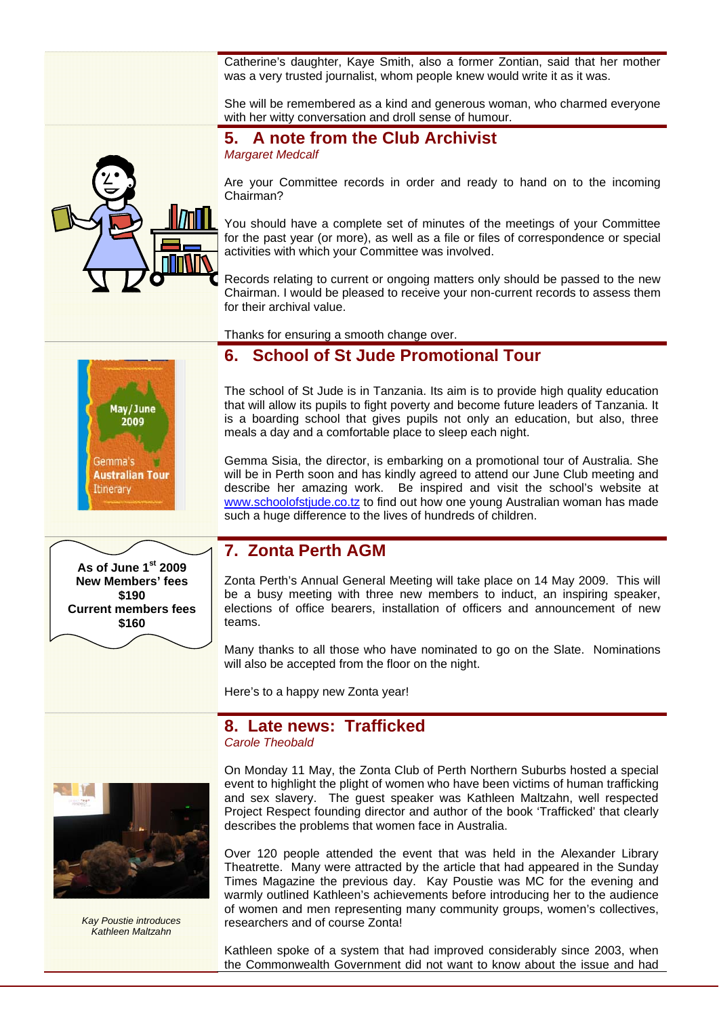Catherine's daughter, Kaye Smith, also a former Zontian, said that her mother was a very trusted journalist, whom people knew would write it as it was.

She will be remembered as a kind and generous woman, who charmed everyone with her witty conversation and droll sense of humour.

#### **5. A note from the Club Archivist**  *Margaret Medcalf*

Are your Committee records in order and ready to hand on to the incoming Chairman?

You should have a complete set of minutes of the meetings of your Committee for the past year (or more), as well as a file or files of correspondence or special activities with which your Committee was involved.

Records relating to current or ongoing matters only should be passed to the new Chairman. I would be pleased to receive your non-current records to assess them for their archival value.

Thanks for ensuring a smooth change over.

## **6. School of St Jude Promotional Tour**

The school of St Jude is in Tanzania. Its aim is to provide high quality education that will allow its pupils to fight poverty and become future leaders of Tanzania. It is a boarding school that gives pupils not only an education, but also, three meals a day and a comfortable place to sleep each night.

Gemma Sisia, the director, is embarking on a promotional tour of Australia. She will be in Perth soon and has kindly agreed to attend our June Club meeting and describe her amazing work. Be inspired and visit the school's website at www.schoolofstjude.co.tz to find out how one young Australian woman has made such a huge difference to the lives of hundreds of children.

## **7. Zonta Perth AGM**

Zonta Perth's Annual General Meeting will take place on 14 May 2009. This will be a busy meeting with three new members to induct, an inspiring speaker, elections of office bearers, installation of officers and announcement of new teams.

Many thanks to all those who have nominated to go on the Slate. Nominations will also be accepted from the floor on the night.

Here's to a happy new Zonta year!

### **8. Late news: Trafficked**  *Carole Theobald*



*Kay Poustie introduces Kathleen Maltzahn* 

On Monday 11 May, the Zonta Club of Perth Northern Suburbs hosted a special event to highlight the plight of women who have been victims of human trafficking and sex slavery. The guest speaker was Kathleen Maltzahn, well respected Project Respect founding director and author of the book 'Trafficked' that clearly describes the problems that women face in Australia.

Over 120 people attended the event that was held in the Alexander Library Theatrette. Many were attracted by the article that had appeared in the Sunday Times Magazine the previous day. Kay Poustie was MC for the evening and warmly outlined Kathleen's achievements before introducing her to the audience of women and men representing many community groups, women's collectives, researchers and of course Zonta!

Kathleen spoke of a system that had improved considerably since 2003, when the Commonwealth Government did not want to know about the issue and had





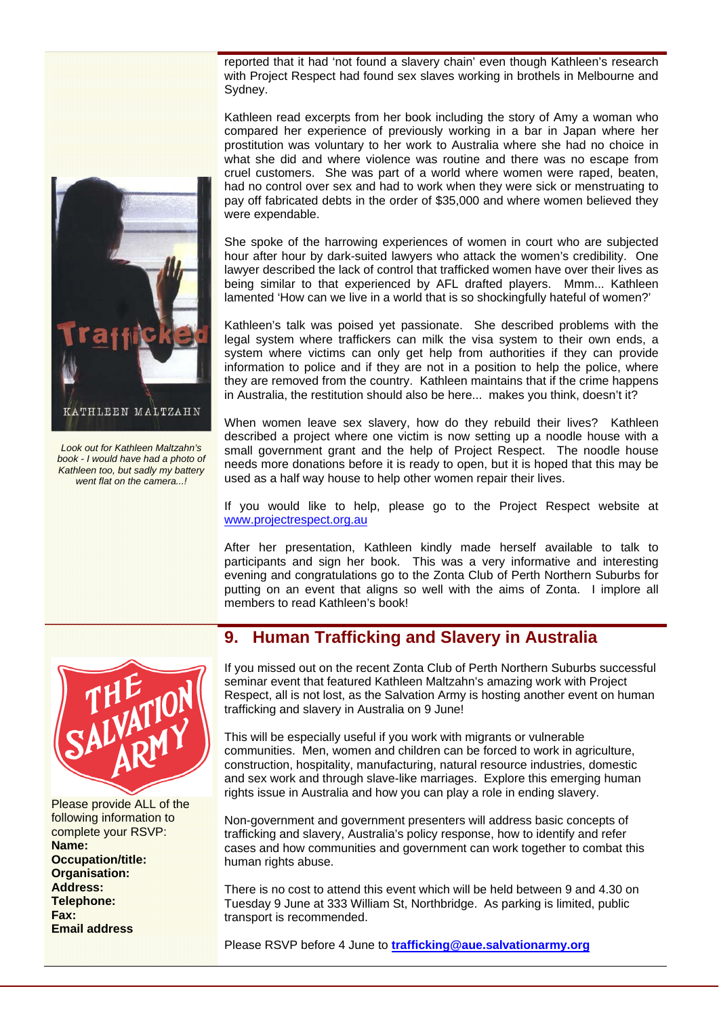reported that it had 'not found a slavery chain' even though Kathleen's research with Project Respect had found sex slaves working in brothels in Melbourne and Sydney.

Kathleen read excerpts from her book including the story of Amy a woman who compared her experience of previously working in a bar in Japan where her prostitution was voluntary to her work to Australia where she had no choice in what she did and where violence was routine and there was no escape from cruel customers. She was part of a world where women were raped, beaten, had no control over sex and had to work when they were sick or menstruating to pay off fabricated debts in the order of \$35,000 and where women believed they were expendable.

She spoke of the harrowing experiences of women in court who are subjected hour after hour by dark-suited lawyers who attack the women's credibility. One lawyer described the lack of control that trafficked women have over their lives as being similar to that experienced by AFL drafted players. Mmm... Kathleen lamented 'How can we live in a world that is so shockingfully hateful of women?'

Kathleen's talk was poised yet passionate. She described problems with the legal system where traffickers can milk the visa system to their own ends, a system where victims can only get help from authorities if they can provide information to police and if they are not in a position to help the police, where they are removed from the country. Kathleen maintains that if the crime happens in Australia, the restitution should also be here... makes you think, doesn't it?

When women leave sex slavery, how do they rebuild their lives? Kathleen described a project where one victim is now setting up a noodle house with a small government grant and the help of Project Respect. The noodle house needs more donations before it is ready to open, but it is hoped that this may be used as a half way house to help other women repair their lives.

If you would like to help, please go to the Project Respect website at www.projectrespect.org.au

After her presentation, Kathleen kindly made herself available to talk to participants and sign her book. This was a very informative and interesting evening and congratulations go to the Zonta Club of Perth Northern Suburbs for putting on an event that aligns so well with the aims of Zonta. I implore all members to read Kathleen's book!

## **9. Human Trafficking and Slavery in Australia**

If you missed out on the recent Zonta Club of Perth Northern Suburbs successful seminar event that featured Kathleen Maltzahn's amazing work with Project Respect, all is not lost, as the Salvation Army is hosting another event on human trafficking and slavery in Australia on 9 June!

This will be especially useful if you work with migrants or vulnerable communities. Men, women and children can be forced to work in agriculture, construction, hospitality, manufacturing, natural resource industries, domestic and sex work and through slave-like marriages. Explore this emerging human rights issue in Australia and how you can play a role in ending slavery.

Non-government and government presenters will address basic concepts of trafficking and slavery, Australia's policy response, how to identify and refer cases and how communities and government can work together to combat this human rights abuse.

There is no cost to attend this event which will be held between 9 and 4.30 on Tuesday 9 June at 333 William St, Northbridge. As parking is limited, public transport is recommended.

Please RSVP before 4 June to **trafficking@aue.salvationarmy.org**





Please provide ALL of the following information to complete your RSVP: **Name: Occupation/title: Organisation: Address: Telephone: Fax: Email address**